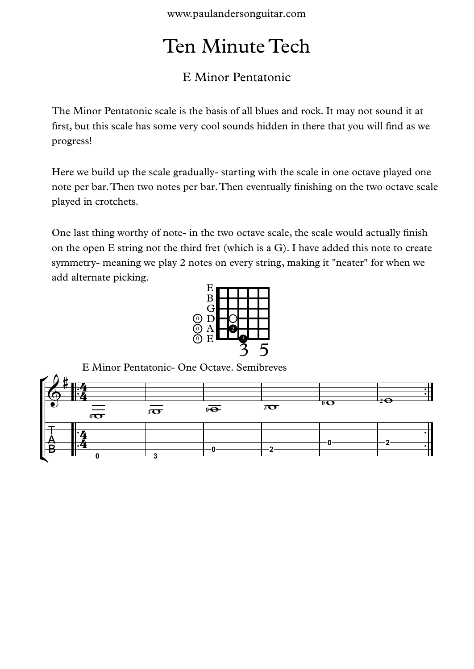www.paulandersonguitar.com

## Ten Minute Tech

## E Minor Pentatonic

The Minor Pentatonic scale is the basis of all blues and rock. It may not sound it at first, but this scale has some very cool sounds hidden in there that you will find as we progress!

Here we build up the scale gradually- starting with the scale in one octave played one note per bar.Then two notes per bar.Then eventually finishing on the two octave scale played in crotchets.

One last thing worthy of note- in the two octave scale, the scale would actually finish on the open E string not the third fret (which is a G). I have added this note to create symmetry- meaning we play 2 notes on every string, making it "neater" for when we add alternate picking.